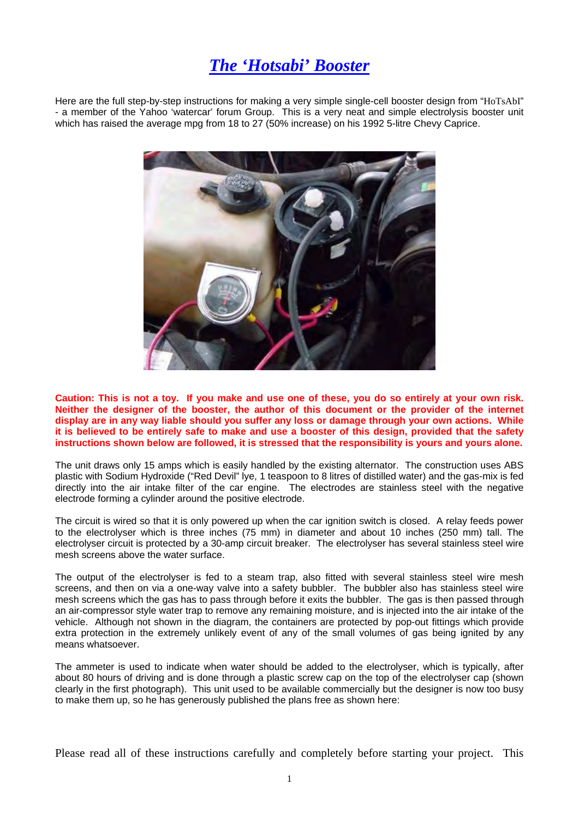## *The 'Hotsabi' Booster*

Here are the full step-by-step instructions for making a very simple single-cell booster design from "HoTsAbI" - a member of the Yahoo 'watercar' forum Group. This is a very neat and simple electrolysis booster unit which has raised the average mpg from 18 to 27 (50% increase) on his 1992 5-litre Chevy Caprice.



**Caution: This is not a toy. If you make and use one of these, you do so entirely at your own risk. Neither the designer of the booster, the author of this document or the provider of the internet display are in any way liable should you suffer any loss or damage through your own actions. While it is believed to be entirely safe to make and use a booster of this design, provided that the safety instructions shown below are followed, it is stressed that the responsibility is yours and yours alone.**

The unit draws only 15 amps which is easily handled by the existing alternator. The construction uses ABS plastic with Sodium Hydroxide ("Red Devil" lye, 1 teaspoon to 8 litres of distilled water) and the gas-mix is fed directly into the air intake filter of the car engine. The electrodes are stainless steel with the negative electrode forming a cylinder around the positive electrode.

The circuit is wired so that it is only powered up when the car ignition switch is closed. A relay feeds power to the electrolyser which is three inches (75 mm) in diameter and about 10 inches (250 mm) tall. The electrolyser circuit is protected by a 30-amp circuit breaker. The electrolyser has several stainless steel wire mesh screens above the water surface.

The output of the electrolyser is fed to a steam trap, also fitted with several stainless steel wire mesh screens, and then on via a one-way valve into a safety bubbler. The bubbler also has stainless steel wire mesh screens which the gas has to pass through before it exits the bubbler. The gas is then passed through an air-compressor style water trap to remove any remaining moisture, and is injected into the air intake of the vehicle. Although not shown in the diagram, the containers are protected by pop-out fittings which provide extra protection in the extremely unlikely event of any of the small volumes of gas being ignited by any means whatsoever.

The ammeter is used to indicate when water should be added to the electrolyser, which is typically, after about 80 hours of driving and is done through a plastic screw cap on the top of the electrolyser cap (shown clearly in the first photograph). This unit used to be available commercially but the designer is now too busy to make them up, so he has generously published the plans free as shown here:

Please read all of these instructions carefully and completely before starting your project. This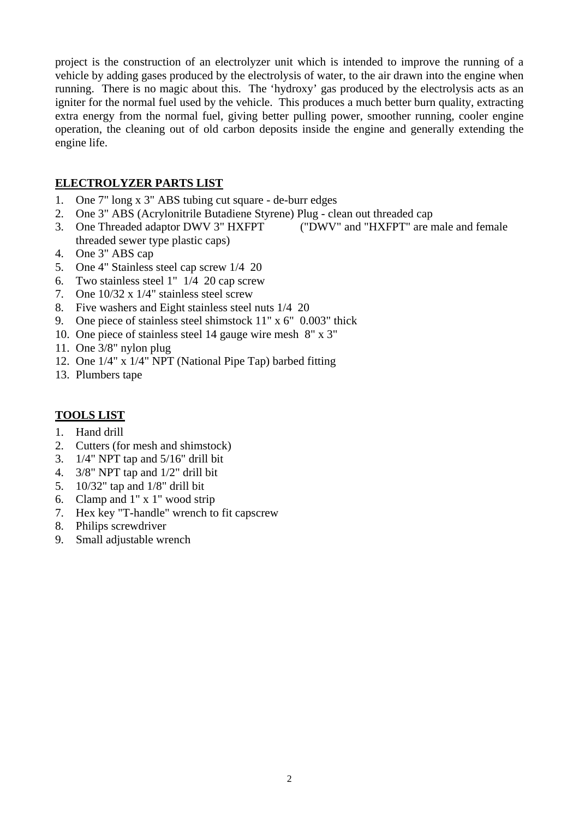project is the construction of an electrolyzer unit which is intended to improve the running of a vehicle by adding gases produced by the electrolysis of water, to the air drawn into the engine when running. There is no magic about this. The 'hydroxy' gas produced by the electrolysis acts as an igniter for the normal fuel used by the vehicle. This produces a much better burn quality, extracting extra energy from the normal fuel, giving better pulling power, smoother running, cooler engine operation, the cleaning out of old carbon deposits inside the engine and generally extending the engine life.

## **ELECTROLYZER PARTS LIST**

- 1. One 7" long x 3" ABS tubing cut square de-burr edges
- 2. One 3" ABS (Acrylonitrile Butadiene Styrene) Plug clean out threaded cap
- 3. One Threaded adaptor DWV 3" HXFPT ("DWV" and "HXFPT" are male and female threaded sewer type plastic caps)
- 4. One 3" ABS cap
- 5. One 4" Stainless steel cap screw 1/4 20
- 6. Two stainless steel 1" 1/4 20 cap screw
- 7. One 10/32 x 1/4" stainless steel screw
- 8. Five washers and Eight stainless steel nuts 1/4 20
- 9. One piece of stainless steel shimstock 11" x 6" 0.003" thick
- 10. One piece of stainless steel 14 gauge wire mesh 8" x 3"
- 11. One 3/8" nylon plug
- 12. One 1/4" x 1/4" NPT (National Pipe Tap) barbed fitting
- 13. Plumbers tape

## **TOOLS LIST**

- 1. Hand drill
- 2. Cutters (for mesh and shimstock)
- 3. 1/4" NPT tap and 5/16" drill bit
- 4. 3/8" NPT tap and 1/2" drill bit
- 5. 10/32" tap and 1/8" drill bit
- 6. Clamp and 1" x 1" wood strip
- 7. Hex key "T-handle" wrench to fit capscrew
- 8. Philips screwdriver
- 9. Small adjustable wrench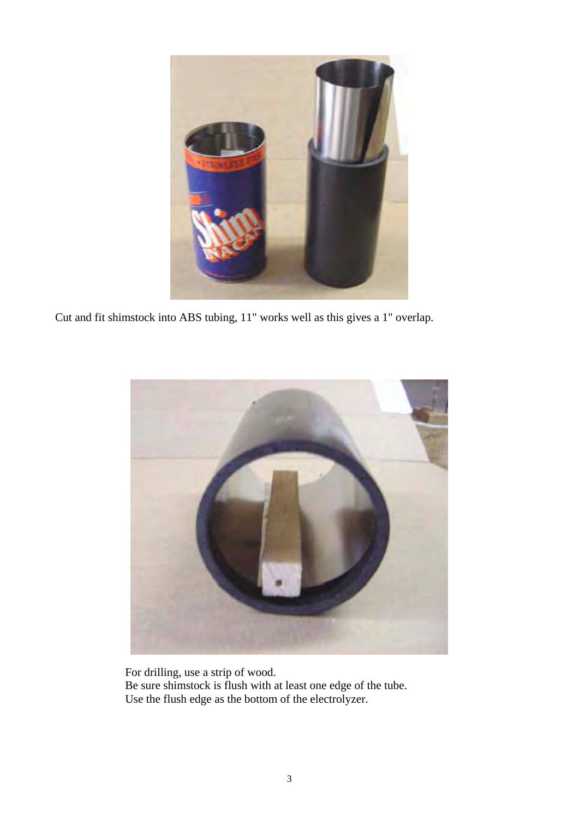

Cut and fit shimstock into ABS tubing, 11" works well as this gives a 1" overlap.



For drilling, use a strip of wood. Be sure shimstock is flush with at least one edge of the tube. Use the flush edge as the bottom of the electrolyzer.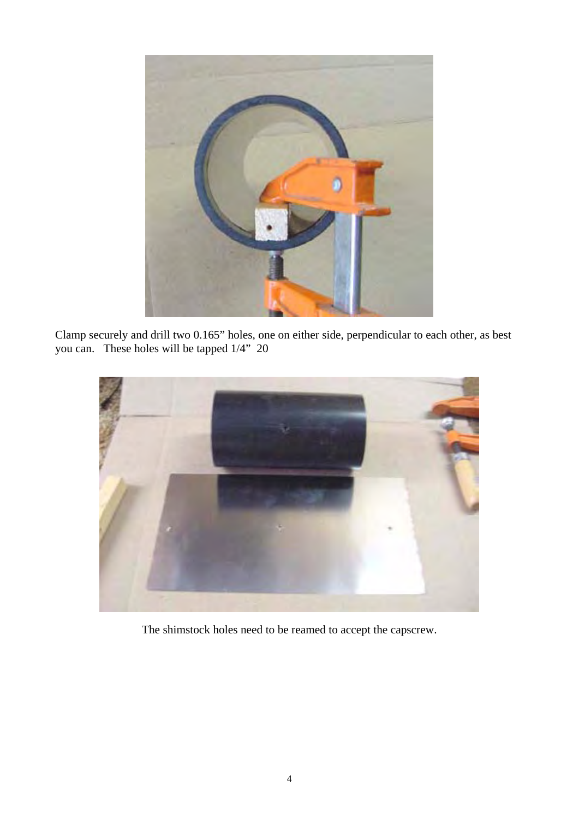

Clamp securely and drill two 0.165" holes, one on either side, perpendicular to each other, as best you can. These holes will be tapped 1/4" 20



The shimstock holes need to be reamed to accept the capscrew.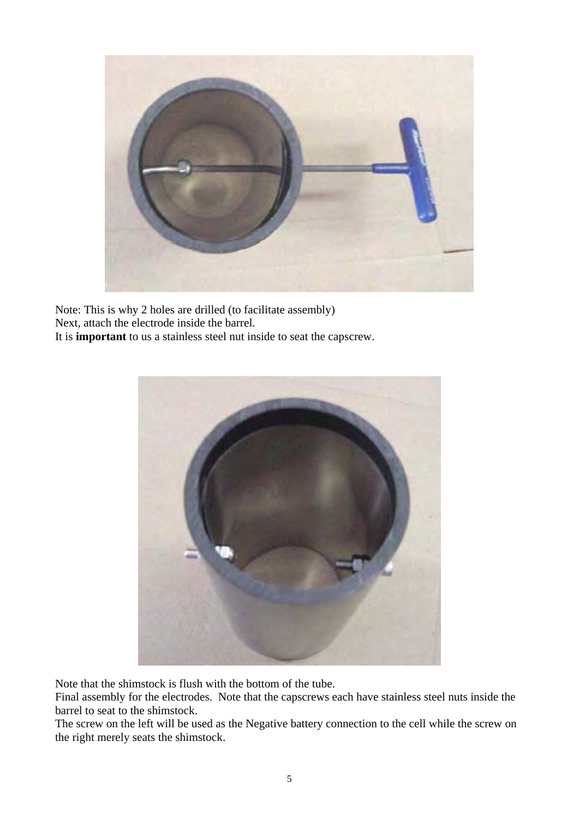

Note: This is why 2 holes are drilled (to facilitate assembly) Next, attach the electrode inside the barrel. It is **important** to us a stainless steel nut inside to seat the capscrew.



Note that the shimstock is flush with the bottom of the tube.

Final assembly for the electrodes. Note that the capscrews each have stainless steel nuts inside the barrel to seat to the shimstock.

The screw on the left will be used as the Negative battery connection to the cell while the screw on the right merely seats the shimstock.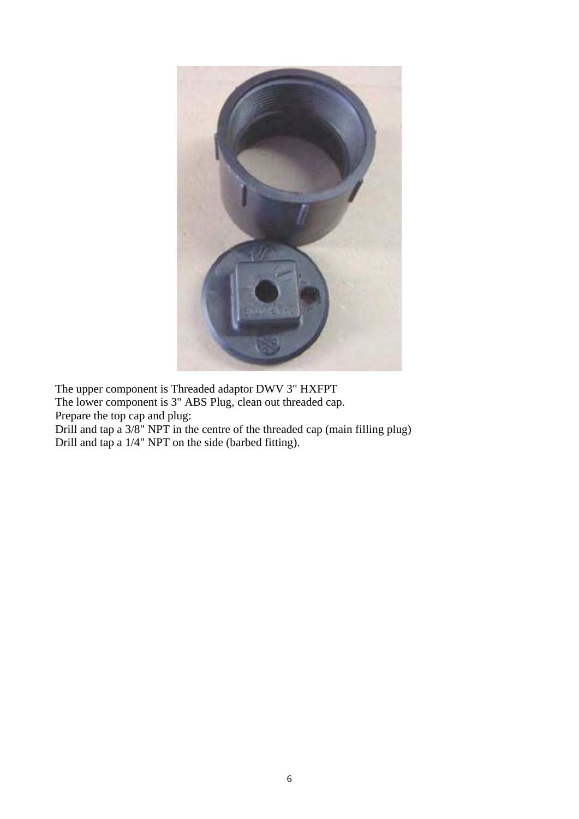

The upper component is Threaded adaptor DWV 3" HXFPT The lower component is 3" ABS Plug, clean out threaded cap. Prepare the top cap and plug:

Drill and tap a 3/8" NPT in the centre of the threaded cap (main filling plug) Drill and tap a 1/4" NPT on the side (barbed fitting).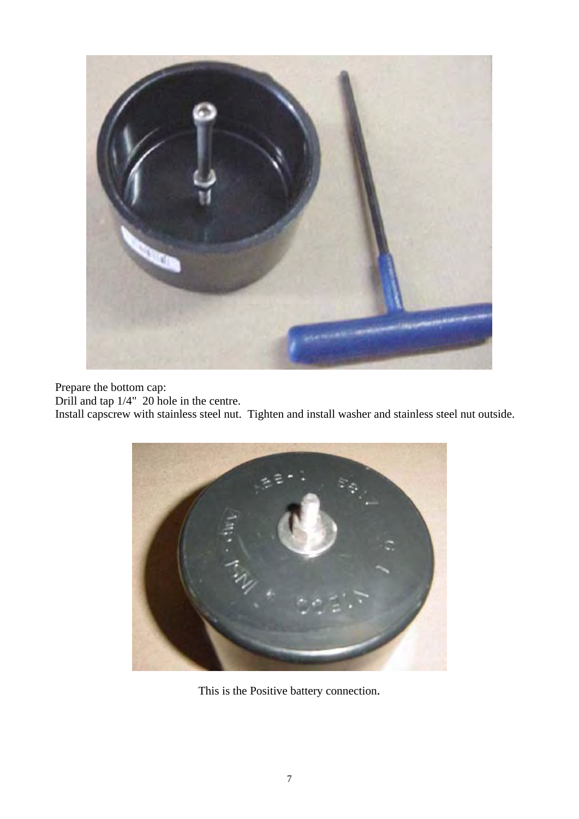

Prepare the bottom cap:

Drill and tap 1/4" 20 hole in the centre.

Install capscrew with stainless steel nut. Tighten and install washer and stainless steel nut outside.



This is the Positive battery connection.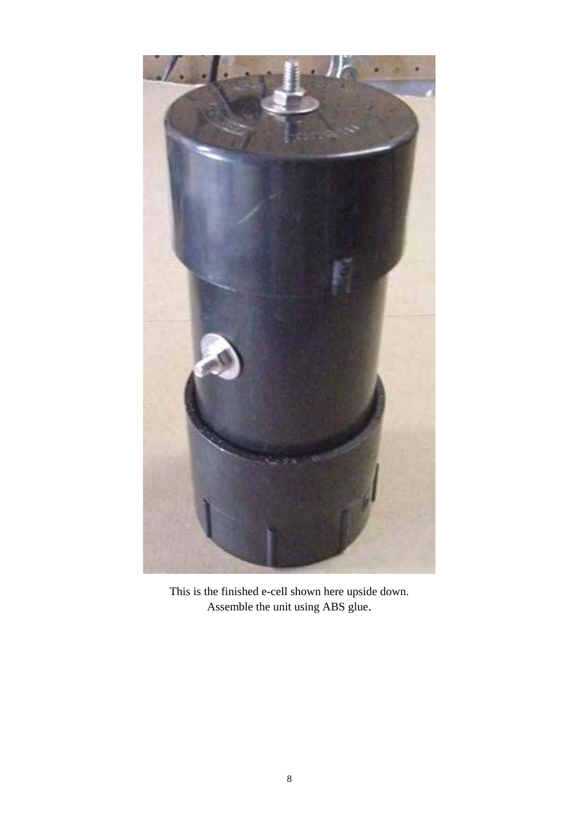

This is the finished e-cell shown here upside down. Assemble the unit using ABS glue.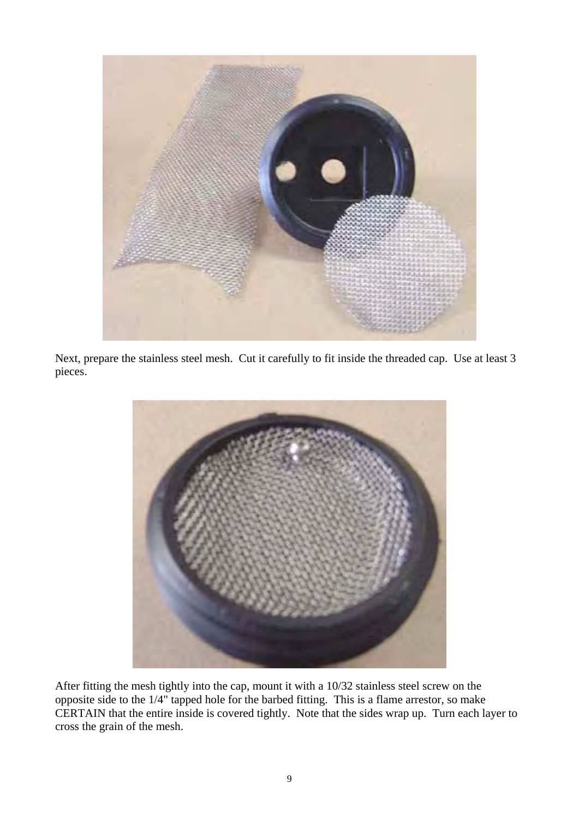

Next, prepare the stainless steel mesh. Cut it carefully to fit inside the threaded cap. Use at least 3 pieces.



After fitting the mesh tightly into the cap, mount it with a 10/32 stainless steel screw on the opposite side to the 1/4" tapped hole for the barbed fitting. This is a flame arrestor, so make CERTAIN that the entire inside is covered tightly. Note that the sides wrap up. Turn each layer to cross the grain of the mesh.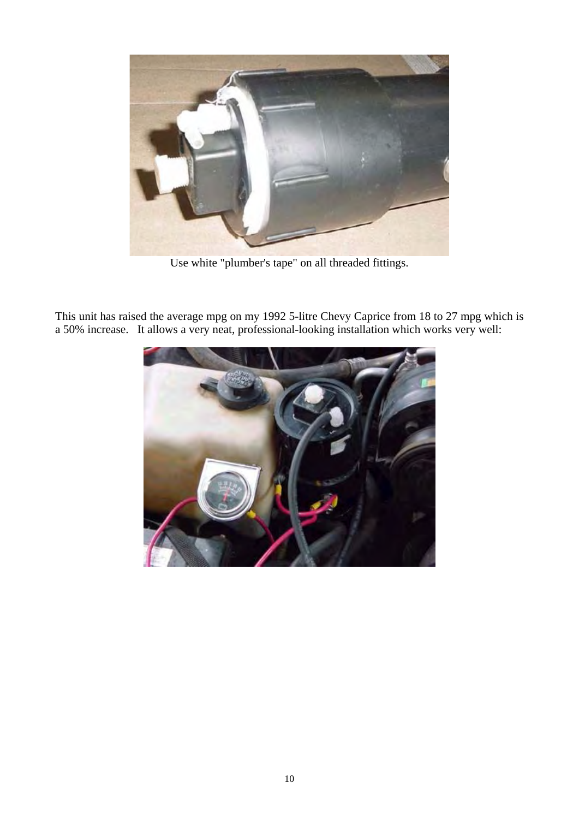

Use white "plumber's tape" on all threaded fittings.

This unit has raised the average mpg on my 1992 5-litre Chevy Caprice from 18 to 27 mpg which is a 50% increase. It allows a very neat, professional-looking installation which works very well:

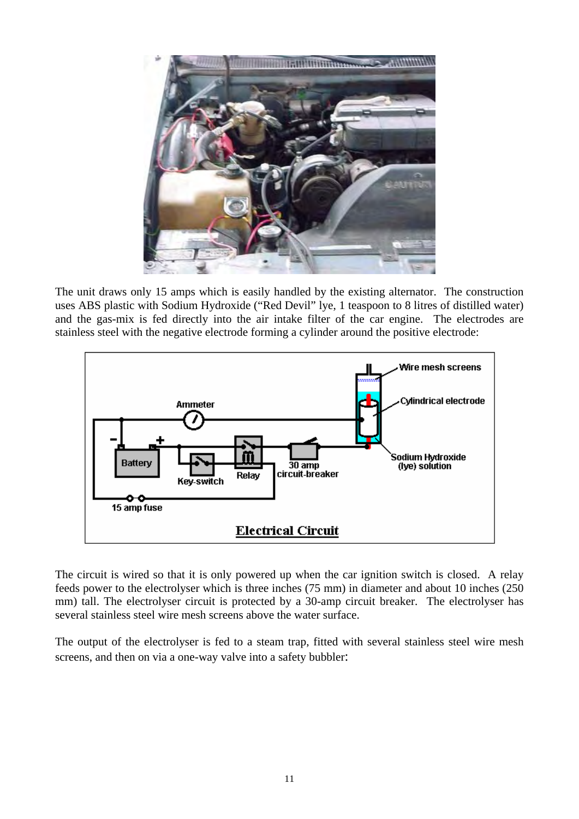

The unit draws only 15 amps which is easily handled by the existing alternator. The construction uses ABS plastic with Sodium Hydroxide ("Red Devil" lye, 1 teaspoon to 8 litres of distilled water) and the gas-mix is fed directly into the air intake filter of the car engine. The electrodes are stainless steel with the negative electrode forming a cylinder around the positive electrode:



The circuit is wired so that it is only powered up when the car ignition switch is closed. A relay feeds power to the electrolyser which is three inches (75 mm) in diameter and about 10 inches (250 mm) tall. The electrolyser circuit is protected by a 30-amp circuit breaker. The electrolyser has several stainless steel wire mesh screens above the water surface.

The output of the electrolyser is fed to a steam trap, fitted with several stainless steel wire mesh screens, and then on via a one-way valve into a safety bubbler: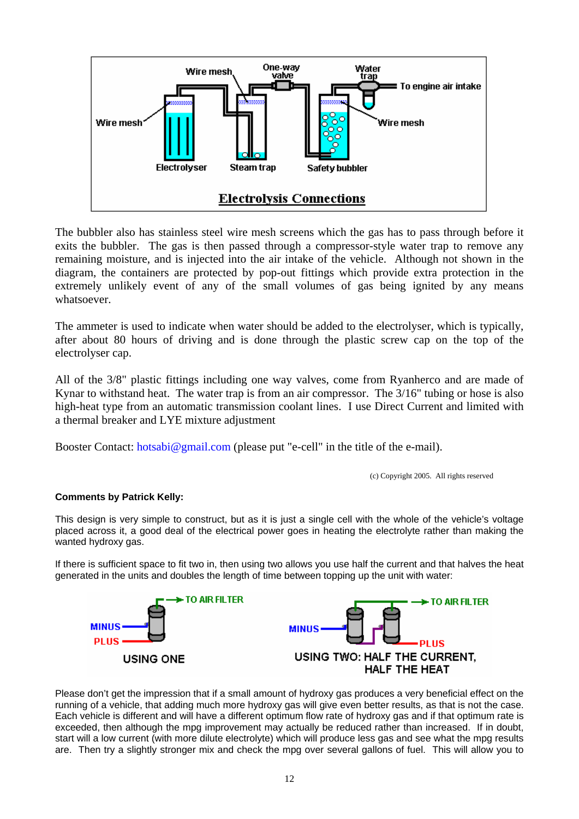

The bubbler also has stainless steel wire mesh screens which the gas has to pass through before it exits the bubbler. The gas is then passed through a compressor-style water trap to remove any remaining moisture, and is injected into the air intake of the vehicle. Although not shown in the diagram, the containers are protected by pop-out fittings which provide extra protection in the extremely unlikely event of any of the small volumes of gas being ignited by any means whatsoever.

The ammeter is used to indicate when water should be added to the electrolyser, which is typically, after about 80 hours of driving and is done through the plastic screw cap on the top of the electrolyser cap.

All of the 3/8" plastic fittings including one way valves, come from Ryanherco and are made of Kynar to withstand heat. The water trap is from an air compressor. The 3/16" tubing or hose is also high-heat type from an automatic transmission coolant lines. I use Direct Current and limited with a thermal breaker and LYE mixture adjustment

Booster Contact: hotsabi@gmail.com (please put "e-cell" in the title of the e-mail).

(c) Copyright 2005. All rights reserved

## **Comments by Patrick Kelly:**

This design is very simple to construct, but as it is just a single cell with the whole of the vehicle's voltage placed across it, a good deal of the electrical power goes in heating the electrolyte rather than making the wanted hydroxy gas.

If there is sufficient space to fit two in, then using two allows you use half the current and that halves the heat generated in the units and doubles the length of time between topping up the unit with water:



Please don't get the impression that if a small amount of hydroxy gas produces a very beneficial effect on the running of a vehicle, that adding much more hydroxy gas will give even better results, as that is not the case. Each vehicle is different and will have a different optimum flow rate of hydroxy gas and if that optimum rate is exceeded, then although the mpg improvement may actually be reduced rather than increased. If in doubt, start will a low current (with more dilute electrolyte) which will produce less gas and see what the mpg results are. Then try a slightly stronger mix and check the mpg over several gallons of fuel. This will allow you to